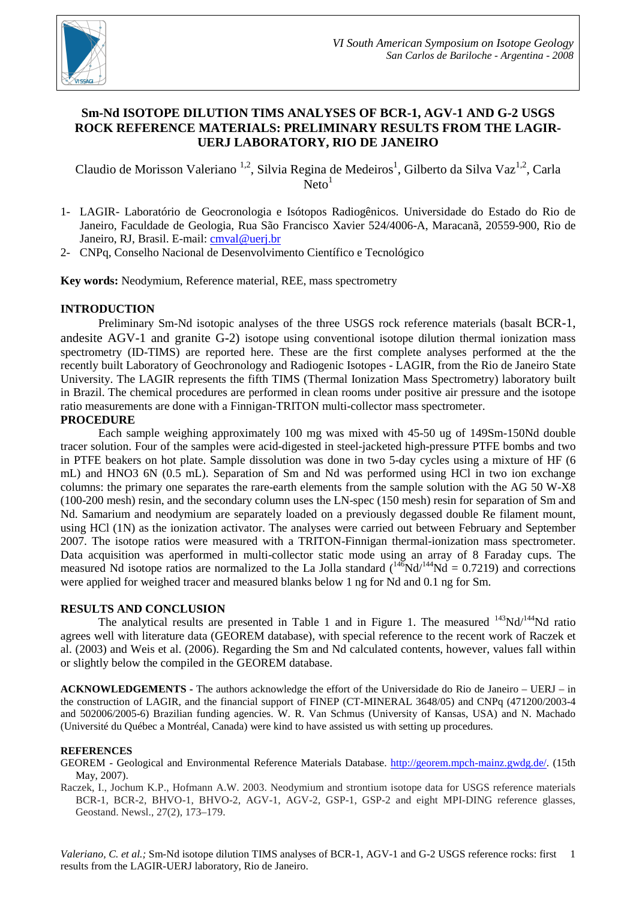

# **Sm-Nd ISOTOPE DILUTION TIMS ANALYSES OF BCR-1, AGV-1 AND G-2 USGS ROCK REFERENCE MATERIALS: PRELIMINARY RESULTS FROM THE LAGIR-UERJ LABORATORY, RIO DE JANEIRO**

Claudio de Morisson Valeriano <sup>1,2</sup>, Silvia Regina de Medeiros<sup>1</sup>, Gilberto da Silva Vaz<sup>1,2</sup>, Carla  $N$ eto<sup>1</sup>

- 1- LAGIR- Laboratório de Geocronologia e Isótopos Radiogênicos. Universidade do Estado do Rio de Janeiro, Faculdade de Geologia, Rua São Francisco Xavier 524/4006-A, Maracanã, 20559-900, Rio de Janeiro, RJ, Brasil. E-mail: cmval@uerj.br
- 2- CNPq, Conselho Nacional de Desenvolvimento Científico e Tecnológico

**Key words:** Neodymium, Reference material, REE, mass spectrometry

## **INTRODUCTION**

Preliminary Sm-Nd isotopic analyses of the three USGS rock reference materials (basalt BCR-1, andesite AGV-1 and granite G-2) isotope using conventional isotope dilution thermal ionization mass spectrometry (ID-TIMS) are reported here. These are the first complete analyses performed at the the recently built Laboratory of Geochronology and Radiogenic Isotopes - LAGIR, from the Rio de Janeiro State University. The LAGIR represents the fifth TIMS (Thermal Ionization Mass Spectrometry) laboratory built in Brazil. The chemical procedures are performed in clean rooms under positive air pressure and the isotope ratio measurements are done with a Finnigan-TRITON multi-collector mass spectrometer.

## **PROCEDURE**

Each sample weighing approximately 100 mg was mixed with 45-50 ug of 149Sm-150Nd double tracer solution. Four of the samples were acid-digested in steel-jacketed high-pressure PTFE bombs and two in PTFE beakers on hot plate. Sample dissolution was done in two 5-day cycles using a mixture of HF (6 mL) and HNO3 6N (0.5 mL). Separation of Sm and Nd was performed using HCl in two ion exchange columns: the primary one separates the rare-earth elements from the sample solution with the AG 50 W-X8 (100-200 mesh) resin, and the secondary column uses the LN-spec (150 mesh) resin for separation of Sm and Nd. Samarium and neodymium are separately loaded on a previously degassed double Re filament mount, using HCl (1N) as the ionization activator. The analyses were carried out between February and September 2007. The isotope ratios were measured with a TRITON-Finnigan thermal-ionization mass spectrometer. Data acquisition was aperformed in multi-collector static mode using an array of 8 Faraday cups. The measured Nd isotope ratios are normalized to the La Jolla standard  $({}^{146}Nd/{}^{144}Nd = 0.7219)$  and corrections were applied for weighed tracer and measured blanks below 1 ng for Nd and 0.1 ng for Sm.

## **RESULTS AND CONCLUSION**

The analytical results are presented in Table 1 and in Figure 1. The measured  $143Nd/144Nd$  ratio agrees well with literature data (GEOREM database), with special reference to the recent work of Raczek et al. (2003) and Weis et al. (2006). Regarding the Sm and Nd calculated contents, however, values fall within or slightly below the compiled in the GEOREM database.

**ACKNOWLEDGEMENTS -** The authors acknowledge the effort of the Universidade do Rio de Janeiro – UERJ – in the construction of LAGIR, and the financial support of FINEP (CT-MINERAL 3648/05) and CNPq (471200/2003-4 and 502006/2005-6) Brazilian funding agencies. W. R. Van Schmus (University of Kansas, USA) and N. Machado (Université du Québec a Montréal, Canada) were kind to have assisted us with setting up procedures.

### **REFERENCES**

GEOREM - Geological and Environmental Reference Materials Database. http://georem.mpch-mainz.gwdg.de/. (15th May, 2007).

Raczek, I., Jochum K.P., Hofmann A.W. 2003. Neodymium and strontium isotope data for USGS reference materials BCR-1, BCR-2, BHVO-1, BHVO-2, AGV-1, AGV-2, GSP-1, GSP-2 and eight MPI-DING reference glasses, Geostand. Newsl., 27(2), 173–179.

Valeriano, C. et al.; Sm-Nd isotope dilution TIMS analyses of BCR-1, AGV-1 and G-2 USGS reference rocks: first 1 results from the LAGIR-UERJ laboratory, Rio de Janeiro.